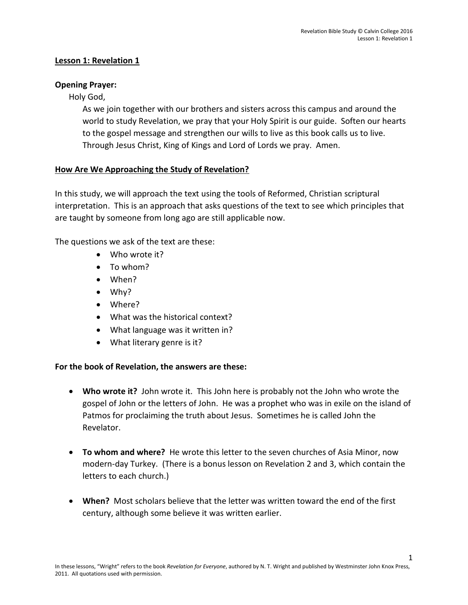1

# **Lesson 1: Revelation 1**

#### **Opening Prayer:**

Holy God,

As we join together with our brothers and sisters across this campus and around the world to study Revelation, we pray that your Holy Spirit is our guide. Soften our hearts to the gospel message and strengthen our wills to live as this book calls us to live. Through Jesus Christ, King of Kings and Lord of Lords we pray. Amen.

## **How Are We Approaching the Study of Revelation?**

In this study, we will approach the text using the tools of Reformed, Christian scriptural interpretation. This is an approach that asks questions of the text to see which principles that are taught by someone from long ago are still applicable now.

The questions we ask of the text are these:

- Who wrote it?
- To whom?
- When?
- Why?
- Where?
- What was the historical context?
- What language was it written in?
- What literary genre is it?

#### **For the book of Revelation, the answers are these:**

- **Who wrote it?** John wrote it. This John here is probably not the John who wrote the gospel of John or the letters of John. He was a prophet who was in exile on the island of Patmos for proclaiming the truth about Jesus. Sometimes he is called John the Revelator.
- **To whom and where?** He wrote this letter to the seven churches of Asia Minor, now modern-day Turkey. (There is a bonus lesson on Revelation 2 and 3, which contain the letters to each church.)
- **When?** Most scholars believe that the letter was written toward the end of the first century, although some believe it was written earlier.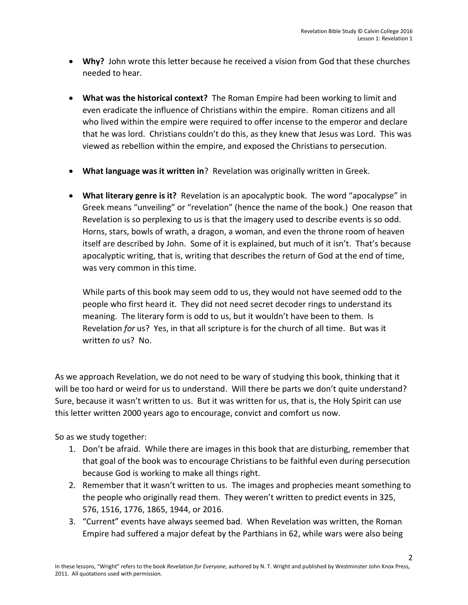- **Why?** John wrote this letter because he received a vision from God that these churches needed to hear.
- **What was the historical context?** The Roman Empire had been working to limit and even eradicate the influence of Christians within the empire. Roman citizens and all who lived within the empire were required to offer incense to the emperor and declare that he was lord. Christians couldn't do this, as they knew that Jesus was Lord. This was viewed as rebellion within the empire, and exposed the Christians to persecution.
- **What language was it written in**? Revelation was originally written in Greek.
- **What literary genre is it?** Revelation is an apocalyptic book. The word "apocalypse" in Greek means "unveiling" or "revelation" (hence the name of the book.) One reason that Revelation is so perplexing to us is that the imagery used to describe events is so odd. Horns, stars, bowls of wrath, a dragon, a woman, and even the throne room of heaven itself are described by John. Some of it is explained, but much of it isn't. That's because apocalyptic writing, that is, writing that describes the return of God at the end of time, was very common in this time.

While parts of this book may seem odd to us, they would not have seemed odd to the people who first heard it. They did not need secret decoder rings to understand its meaning. The literary form is odd to us, but it wouldn't have been to them. Is Revelation *for* us? Yes, in that all scripture is for the church of all time. But was it written *to* us? No.

As we approach Revelation, we do not need to be wary of studying this book, thinking that it will be too hard or weird for us to understand. Will there be parts we don't quite understand? Sure, because it wasn't written to us. But it was written for us, that is, the Holy Spirit can use this letter written 2000 years ago to encourage, convict and comfort us now.

So as we study together:

- 1. Don't be afraid. While there are images in this book that are disturbing, remember that that goal of the book was to encourage Christians to be faithful even during persecution because God is working to make all things right.
- 2. Remember that it wasn't written to us. The images and prophecies meant something to the people who originally read them. They weren't written to predict events in 325, 576, 1516, 1776, 1865, 1944, or 2016.
- 3. "Current" events have always seemed bad. When Revelation was written, the Roman Empire had suffered a major defeat by the Parthians in 62, while wars were also being